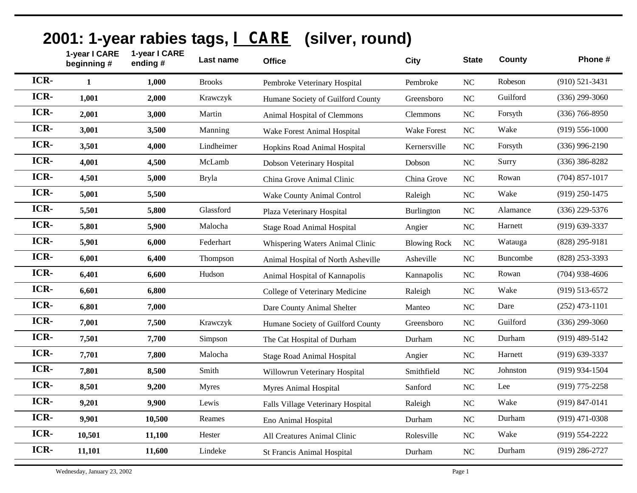|      | 1-year I CARE<br>beginning # | 1-year I CARE<br>ending# | Last name     | <b>Office</b>                      | City                | <b>State</b> | County   | Phone #            |
|------|------------------------------|--------------------------|---------------|------------------------------------|---------------------|--------------|----------|--------------------|
| ICR- | $\mathbf{1}$                 | 1,000                    | <b>Brooks</b> | Pembroke Veterinary Hospital       | Pembroke            | NC           | Robeson  | $(910) 521 - 3431$ |
| ICR- | 1,001                        | 2,000                    | Krawczyk      | Humane Society of Guilford County  | Greensboro          | $\rm NC$     | Guilford | $(336)$ 299-3060   |
| ICR- | 2,001                        | 3,000                    | Martin        | Animal Hospital of Clemmons        | Clemmons            | NC           | Forsyth  | $(336) 766 - 8950$ |
| ICR- | 3,001                        | 3,500                    | Manning       | Wake Forest Animal Hospital        | Wake Forest         | NC           | Wake     | $(919) 556 - 1000$ |
| ICR- | 3,501                        | 4,000                    | Lindheimer    | Hopkins Road Animal Hospital       | Kernersville        | NC           | Forsyth  | $(336)$ 996-2190   |
| ICR- | 4,001                        | 4,500                    | McLamb        | Dobson Veterinary Hospital         | Dobson              | $\rm NC$     | Surry    | $(336)$ 386-8282   |
| ICR- | 4,501                        | 5,000                    | <b>Bryla</b>  | China Grove Animal Clinic          | China Grove         | NC           | Rowan    | $(704)$ 857-1017   |
| ICR- | 5,001                        | 5,500                    |               | Wake County Animal Control         | Raleigh             | $\rm NC$     | Wake     | $(919)$ 250-1475   |
| ICR- | 5,501                        | 5,800                    | Glassford     | Plaza Veterinary Hospital          | Burlington          | NC           | Alamance | (336) 229-5376     |
| ICR- | 5,801                        | 5,900                    | Malocha       | <b>Stage Road Animal Hospital</b>  | Angier              | NC           | Harnett  | $(919)$ 639-3337   |
| ICR- | 5,901                        | 6,000                    | Federhart     | Whispering Waters Animal Clinic    | <b>Blowing Rock</b> | $\rm NC$     | Watauga  | (828) 295-9181     |
| ICR- | 6,001                        | 6,400                    | Thompson      | Animal Hospital of North Asheville | Asheville           | NC           | Buncombe | (828) 253-3393     |
| ICR- | 6,401                        | 6,600                    | Hudson        | Animal Hospital of Kannapolis      | Kannapolis          | $\rm NC$     | Rowan    | $(704)$ 938-4606   |
| ICR- | 6,601                        | 6,800                    |               | College of Veterinary Medicine     | Raleigh             | $\rm NC$     | Wake     | $(919) 513 - 6572$ |
| ICR- | 6,801                        | 7,000                    |               | Dare County Animal Shelter         | Manteo              | NC           | Dare     | $(252)$ 473-1101   |
| ICR- | 7,001                        | 7,500                    | Krawczyk      | Humane Society of Guilford County  | Greensboro          | NC           | Guilford | $(336)$ 299-3060   |
| ICR- | 7,501                        | 7,700                    | Simpson       | The Cat Hospital of Durham         | Durham              | $\rm NC$     | Durham   | $(919)$ 489-5142   |
| ICR- | 7,701                        | 7,800                    | Malocha       | <b>Stage Road Animal Hospital</b>  | Angier              | $\rm NC$     | Harnett  | $(919) 639 - 3337$ |
| ICR- | 7,801                        | 8,500                    | Smith         | Willowrun Veterinary Hospital      | Smithfield          | NC           | Johnston | (919) 934-1504     |
| ICR- | 8,501                        | 9,200                    | <b>Myres</b>  | Myres Animal Hospital              | Sanford             | $\rm NC$     | Lee      | $(919)$ 775-2258   |
| ICR- | 9,201                        | 9,900                    | Lewis         | Falls Village Veterinary Hospital  | Raleigh             | NC           | Wake     | $(919) 847 - 0141$ |
| ICR- | 9,901                        | 10,500                   | Reames        | Eno Animal Hospital                | Durham              | NC           | Durham   | $(919)$ 471-0308   |
| ICR- | 10,501                       | 11,100                   | Hester        | All Creatures Animal Clinic        | Rolesville          | $\rm NC$     | Wake     | $(919) 554 - 2222$ |
| ICR- | 11,101                       | 11,600                   | Lindeke       | <b>St Francis Animal Hospital</b>  | Durham              | $\rm NC$     | Durham   | $(919)$ 286-2727   |

## **2001: 1-year rabies tags, I CARE (silver, round)**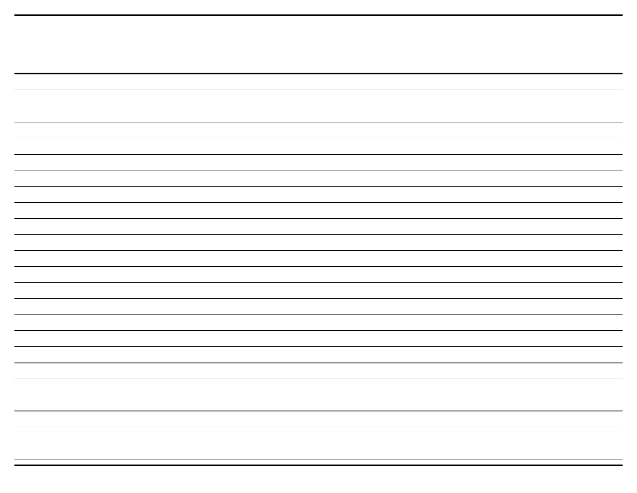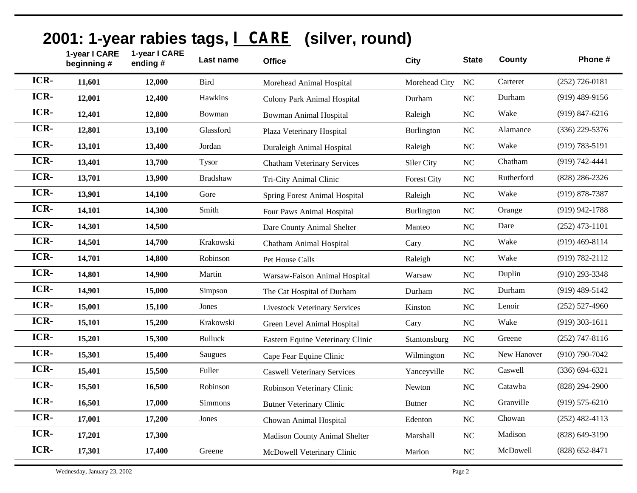|      | 1-year I CARE<br>beginning # | 1-year I CARE<br>ending# | Last name      | <b>Office</b>                        | City               | <b>State</b> | County      | Phone #            |
|------|------------------------------|--------------------------|----------------|--------------------------------------|--------------------|--------------|-------------|--------------------|
| ICR- | 11,601                       | 12,000                   | <b>Bird</b>    | Morehead Animal Hospital             | Morehead City      | NC           | Carteret    | $(252)$ 726-0181   |
| ICR- | 12,001                       | 12,400                   | Hawkins        | Colony Park Animal Hospital          | Durham             | $\rm NC$     | Durham      | $(919)$ 489-9156   |
| ICR- | 12,401                       | 12,800                   | Bowman         | <b>Bowman Animal Hospital</b>        | Raleigh            | $\rm NC$     | Wake        | $(919) 847 - 6216$ |
| ICR- | 12,801                       | 13,100                   | Glassford      | Plaza Veterinary Hospital            | Burlington         | $\rm NC$     | Alamance    | $(336)$ 229-5376   |
| ICR- | 13,101                       | 13,400                   | Jordan         | Duraleigh Animal Hospital            | Raleigh            | $\rm NC$     | Wake        | $(919) 783 - 5191$ |
| ICR- | 13,401                       | 13,700                   | <b>Tysor</b>   | <b>Chatham Veterinary Services</b>   | Siler City         | NC           | Chatham     | $(919) 742 - 4441$ |
| ICR- | 13,701                       | 13,900                   | Bradshaw       | Tri-City Animal Clinic               | <b>Forest City</b> | $\rm NC$     | Rutherford  | $(828) 286 - 2326$ |
| ICR- | 13,901                       | 14,100                   | Gore           | Spring Forest Animal Hospital        | Raleigh            | $\rm NC$     | Wake        | $(919) 878 - 7387$ |
| ICR- | 14,101                       | 14,300                   | Smith          | Four Paws Animal Hospital            | Burlington         | NC           | Orange      | $(919)$ 942-1788   |
| ICR- | 14,301                       | 14,500                   |                | Dare County Animal Shelter           | Manteo             | $\rm NC$     | Dare        | $(252)$ 473-1101   |
| ICR- | 14,501                       | 14,700                   | Krakowski      | Chatham Animal Hospital              | Cary               | NC           | Wake        | $(919)$ 469-8114   |
| ICR- | 14,701                       | 14,800                   | Robinson       | Pet House Calls                      | Raleigh            | NC           | Wake        | $(919) 782 - 2112$ |
| ICR- | 14,801                       | 14,900                   | Martin         | Warsaw-Faison Animal Hospital        | Warsaw             | NC           | Duplin      | $(910)$ 293-3348   |
| ICR- | 14,901                       | 15,000                   | Simpson        | The Cat Hospital of Durham           | Durham             | $\rm NC$     | Durham      | $(919)$ 489-5142   |
| ICR- | 15,001                       | 15,100                   | Jones          | <b>Livestock Veterinary Services</b> | Kinston            | NC           | Lenoir      | $(252)$ 527-4960   |
| ICR- | 15,101                       | 15,200                   | Krakowski      | Green Level Animal Hospital          | Cary               | $\rm NC$     | Wake        | $(919)$ 303-1611   |
| ICR- | 15,201                       | 15,300                   | <b>Bulluck</b> | Eastern Equine Veterinary Clinic     | Stantonsburg       | $\rm NC$     | Greene      | $(252)$ 747-8116   |
| ICR- | 15,301                       | 15,400                   | Saugues        | Cape Fear Equine Clinic              | Wilmington         | $\rm NC$     | New Hanover | $(910)$ 790-7042   |
| ICR- | 15,401                       | 15,500                   | Fuller         | <b>Caswell Veterinary Services</b>   | Yanceyville        | NC           | Caswell     | $(336) 694 - 6321$ |
| ICR- | 15,501                       | 16,500                   | Robinson       | Robinson Veterinary Clinic           | Newton             | $\rm NC$     | Catawba     | $(828) 294 - 2900$ |
| ICR- | 16,501                       | 17,000                   | <b>Simmons</b> | <b>Butner Veterinary Clinic</b>      | <b>Butner</b>      | $\rm NC$     | Granville   | $(919) 575 - 6210$ |
| ICR- | 17,001                       | 17,200                   | Jones          | Chowan Animal Hospital               | Edenton            | $\rm NC$     | Chowan      | $(252)$ 482-4113   |
| ICR- | 17,201                       | 17,300                   |                | <b>Madison County Animal Shelter</b> | Marshall           | $\rm NC$     | Madison     | (828) 649-3190     |
| ICR- | 17,301                       | 17,400                   | Greene         | McDowell Veterinary Clinic           | Marion             | $\rm NC$     | McDowell    | $(828) 652 - 8471$ |

## **2001: 1-year rabies tags, I CARE (silver, round)**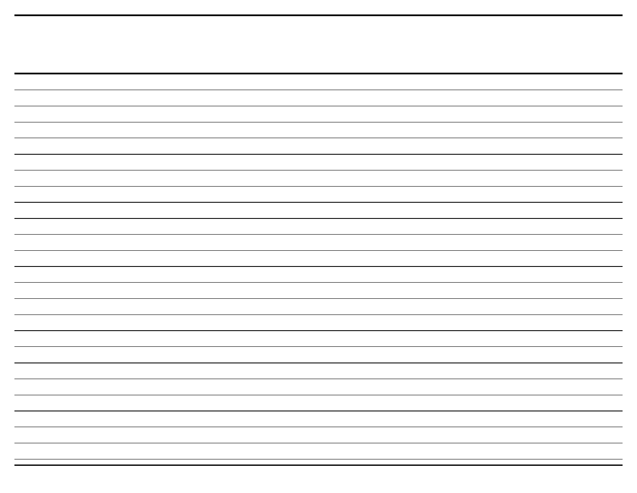